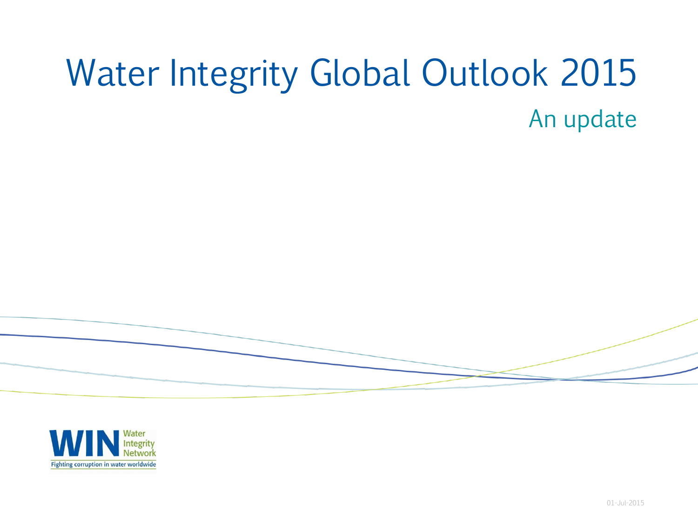# Water Integrity Global Outlook 2015 An update



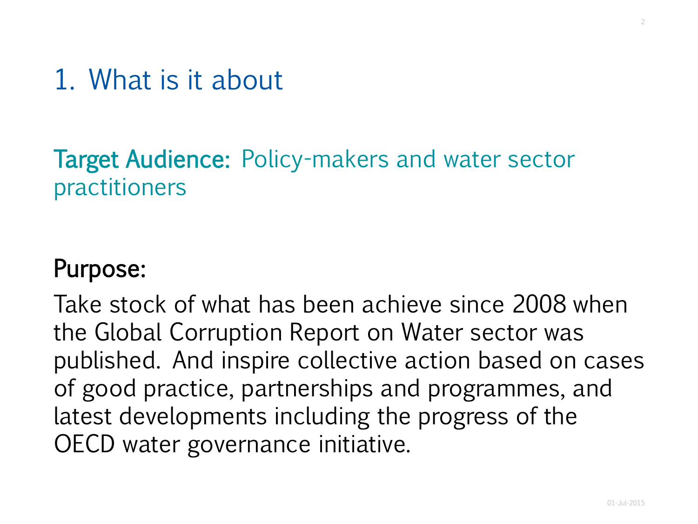## 1. What is it about

#### Target Audience: Policy-makers and water sector practitioners

#### Purpose:

Take stock of what has been achieve since 2008 when the Global Corruption Report on Water sector was published. And inspire collective action based on cases of good practice, partnerships and programmes, and latest developments including the progress of the OECD water governance initiative.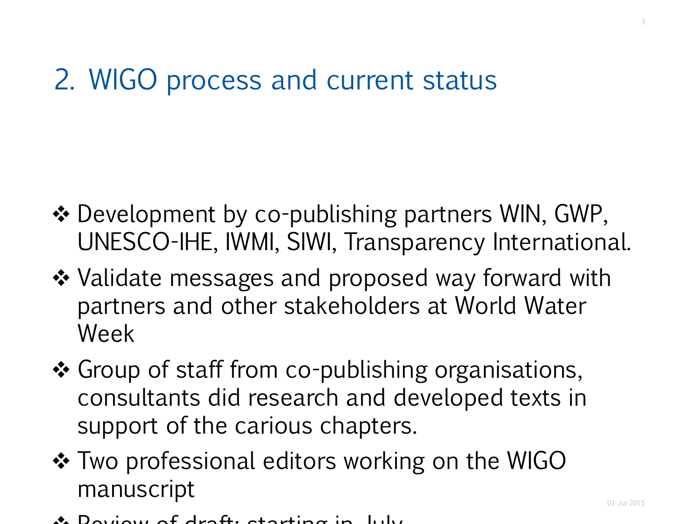## 2. WIGO process and current status

- $\triangle$  Development by co-publishing partners WIN, GWP, UNESCO-IHE, IWMI, SIWI, Transparency International.
- ❖ Validate messages and proposed way forward with partners and other stakeholders at World Water Week
- ❖ Group of staff from co-publishing organisations, consultants did research and developed texts in support of the carious chapters.
- $\cdot$  **Two professional editors working on the WIGO** manuscript
- $\mathcal{R}$  Doview of draft: starting in  $\mathcal{R}$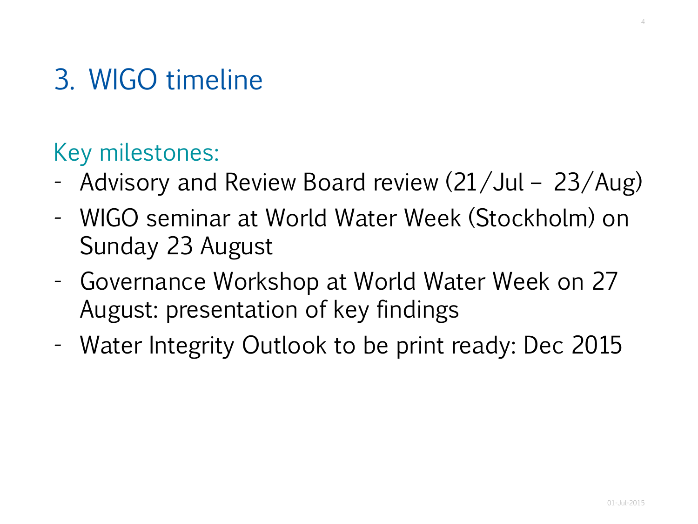# 3. WIGO timeline

### Key milestones:

- Advisory and Review Board review (21/Jul 23/Aug)
- WIGO seminar at World Water Week (Stockholm) on Sunday 23 August
- Governance Workshop at World Water Week on 27 August: presentation of key findings
- Water Integrity Outlook to be print ready: Dec 2015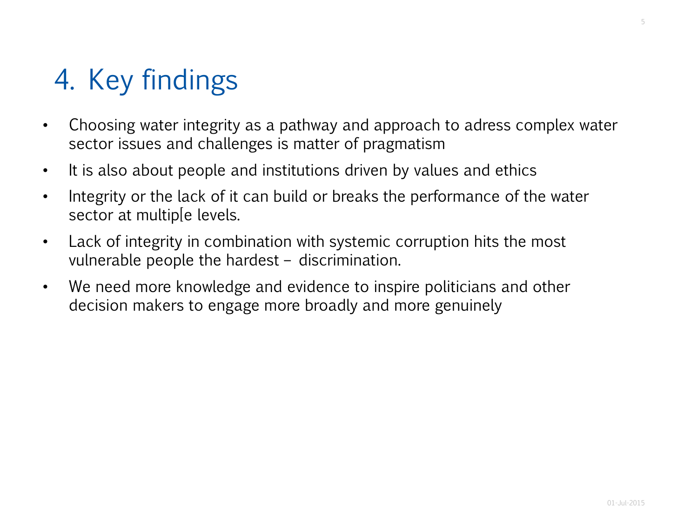# 4. Key findings

- Choosing water integrity as a pathway and approach to adress complex water sector issues and challenges is matter of pragmatism
- It is also about people and institutions driven by values and ethics
- Integrity or the lack of it can build or breaks the performance of the water sector at multip[e levels.
- Lack of integrity in combination with systemic corruption hits the most vulnerable people the hardest – discrimination.
- We need more knowledge and evidence to inspire politicians and other decision makers to engage more broadly and more genuinely